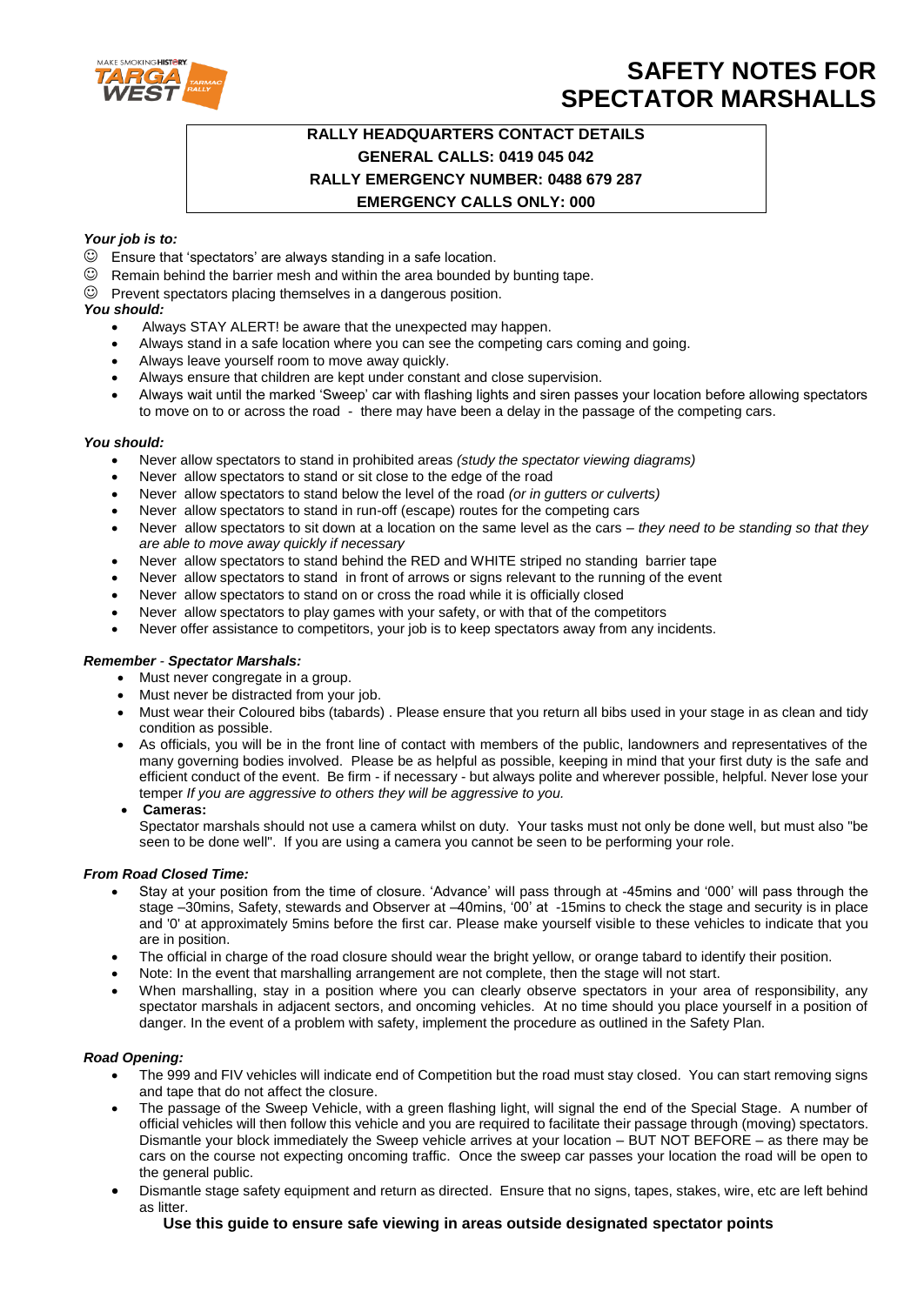

## **SAFETY NOTES FOR SPECTATOR MARSHALLS**

### **RALLY HEADQUARTERS CONTACT DETAILS GENERAL CALLS: 0419 045 042 RALLY EMERGENCY NUMBER: 0488 679 287 EMERGENCY CALLS ONLY: 000**

#### *Your job is to:*

- $\odot$  Ensure that 'spectators' are always standing in a safe location.
- $\odot$  Remain behind the barrier mesh and within the area bounded by bunting tape.

#### $\heartsuit$  Prevent spectators placing themselves in a dangerous position.

#### *You should:*

- Always STAY ALERT! be aware that the unexpected may happen.
- Always stand in a safe location where you can see the competing cars coming and going.
- Always leave yourself room to move away quickly.
- Always ensure that children are kept under constant and close supervision.
- Always wait until the marked 'Sweep' car with flashing lights and siren passes your location before allowing spectators to move on to or across the road - there may have been a delay in the passage of the competing cars.

#### *You should:*

- Never allow spectators to stand in prohibited areas *(study the spectator viewing diagrams)*
- Never allow spectators to stand or sit close to the edge of the road
- Never allow spectators to stand below the level of the road *(or in gutters or culverts)*
- Never allow spectators to stand in run-off (escape) routes for the competing cars
- Never allow spectators to sit down at a location on the same level as the cars *they need to be standing so that they are able to move away quickly if necessary*
- Never allow spectators to stand behind the RED and WHITE striped no standing barrier tape
- Never allow spectators to stand in front of arrows or signs relevant to the running of the event
- Never allow spectators to stand on or cross the road while it is officially closed
- Never allow spectators to play games with your safety, or with that of the competitors
- Never offer assistance to competitors, your job is to keep spectators away from any incidents.

#### *Remember - Spectator Marshals:*

- Must never congregate in a group.
- Must never be distracted from your job.
- Must wear their Coloured bibs (tabards). Please ensure that you return all bibs used in your stage in as clean and tidy condition as possible.
- As officials, you will be in the front line of contact with members of the public, landowners and representatives of the many governing bodies involved. Please be as helpful as possible, keeping in mind that your first duty is the safe and efficient conduct of the event. Be firm - if necessary - but always polite and wherever possible, helpful. Never lose your temper *If you are aggressive to others they will be aggressive to you.*

#### **Cameras:**

Spectator marshals should not use a camera whilst on duty. Your tasks must not only be done well, but must also "be seen to be done well". If you are using a camera you cannot be seen to be performing your role.

#### *From Road Closed Time:*

- Stay at your position from the time of closure. 'Advance' will pass through at -45mins and '000' will pass through the stage –30mins, Safety, stewards and Observer at –40mins, '00' at -15mins to check the stage and security is in place and '0' at approximately 5mins before the first car. Please make yourself visible to these vehicles to indicate that you are in position.
- The official in charge of the road closure should wear the bright yellow, or orange tabard to identify their position.
- Note: In the event that marshalling arrangement are not complete, then the stage will not start.
- When marshalling, stay in a position where you can clearly observe spectators in your area of responsibility, any spectator marshals in adjacent sectors, and oncoming vehicles. At no time should you place yourself in a position of danger. In the event of a problem with safety, implement the procedure as outlined in the Safety Plan.

#### *Road Opening:*

- The 999 and FIV vehicles will indicate end of Competition but the road must stay closed. You can start removing signs and tape that do not affect the closure.
- The passage of the Sweep Vehicle, with a green flashing light, will signal the end of the Special Stage. A number of official vehicles will then follow this vehicle and you are required to facilitate their passage through (moving) spectators. Dismantle your block immediately the Sweep vehicle arrives at your location – BUT NOT BEFORE – as there may be cars on the course not expecting oncoming traffic. Once the sweep car passes your location the road will be open to the general public.
- Dismantle stage safety equipment and return as directed. Ensure that no signs, tapes, stakes, wire, etc are left behind as litter.

**Use this guide to ensure safe viewing in areas outside designated spectator points**